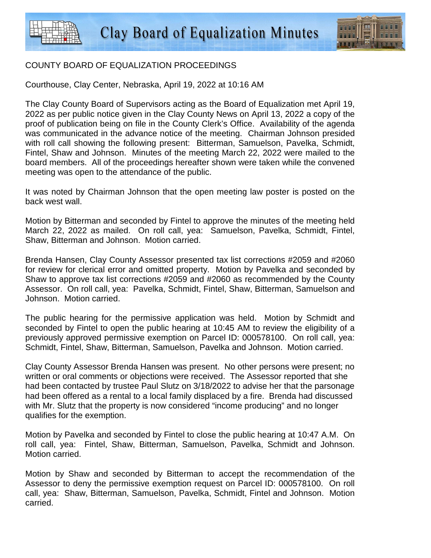

## COUNTY BOARD OF EQUALIZATION PROCEEDINGS

Courthouse, Clay Center, Nebraska, April 19, 2022 at 10:16 AM

The Clay County Board of Supervisors acting as the Board of Equalization met April 19, 2022 as per public notice given in the Clay County News on April 13, 2022 a copy of the proof of publication being on file in the County Clerk's Office. Availability of the agenda was communicated in the advance notice of the meeting. Chairman Johnson presided with roll call showing the following present: Bitterman, Samuelson, Pavelka, Schmidt, Fintel, Shaw and Johnson. Minutes of the meeting March 22, 2022 were mailed to the board members. All of the proceedings hereafter shown were taken while the convened meeting was open to the attendance of the public.

It was noted by Chairman Johnson that the open meeting law poster is posted on the back west wall.

Motion by Bitterman and seconded by Fintel to approve the minutes of the meeting held March 22, 2022 as mailed. On roll call, yea: Samuelson, Pavelka, Schmidt, Fintel, Shaw, Bitterman and Johnson. Motion carried.

Brenda Hansen, Clay County Assessor presented tax list corrections #2059 and #2060 for review for clerical error and omitted property. Motion by Pavelka and seconded by Shaw to approve tax list corrections #2059 and #2060 as recommended by the County Assessor. On roll call, yea: Pavelka, Schmidt, Fintel, Shaw, Bitterman, Samuelson and Johnson. Motion carried.

The public hearing for the permissive application was held. Motion by Schmidt and seconded by Fintel to open the public hearing at 10:45 AM to review the eligibility of a previously approved permissive exemption on Parcel ID: 000578100. On roll call, yea: Schmidt, Fintel, Shaw, Bitterman, Samuelson, Pavelka and Johnson. Motion carried.

Clay County Assessor Brenda Hansen was present. No other persons were present; no written or oral comments or objections were received. The Assessor reported that she had been contacted by trustee Paul Slutz on 3/18/2022 to advise her that the parsonage had been offered as a rental to a local family displaced by a fire. Brenda had discussed with Mr. Slutz that the property is now considered "income producing" and no longer qualifies for the exemption.

Motion by Pavelka and seconded by Fintel to close the public hearing at 10:47 A.M. On roll call, yea: Fintel, Shaw, Bitterman, Samuelson, Pavelka, Schmidt and Johnson. Motion carried.

Motion by Shaw and seconded by Bitterman to accept the recommendation of the Assessor to deny the permissive exemption request on Parcel ID: 000578100. On roll call, yea: Shaw, Bitterman, Samuelson, Pavelka, Schmidt, Fintel and Johnson. Motion carried.